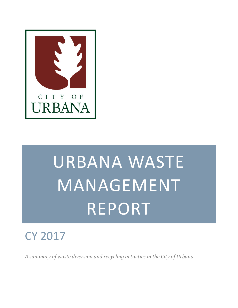

# URBANA WASTE MANAGEMENT REPORT

## CY 2017

*A summary of waste diversion and recycling activities in the City of Urbana.*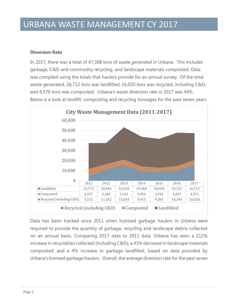#### **Diversion Rate**

In 2017, there was a total of 47,308 tons of waste *generated* in Urbana. This includes garbage, C&D and commodity recycling, and landscape materials composted. Data was compiled using the totals that haulers provide for an annual survey. Of the total waste generated, 26,712 tons was landfilled; 16,020 tons was recycled, including C&D; and 4,576 tons was composted. Urbana's waste diversion rate in 2017 was 44%. Below is a look at landfill, composting and recycling tonnages for the past seven years.



Data has been tracked since 2011 when licensed garbage haulers in Urbana were required to provide the quantity of garbage, recycling and landscape debris collected on an annual basis. Comparing 2017 data to 2011 data, Urbana has seen a 212% increase in recyclables collected (including C&D); a 43% decrease in landscape materials composted; and a 4% increase in garbage landfilled, based on data provided by Urbana's licensed garbage haulers. Overall, the average diversion rate for the past seven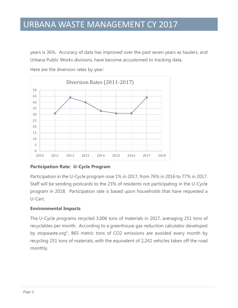years is 36%. Accuracy of data has improved over the past seven years as haulers, and Urbana Public Works divisions, have become accustomed to tracking data.



Here are the diversion rates by year:

#### **Participation Rate: U-Cycle Program**

Participation in the U-Cycle program rose 1% in 2017, from 76% in 2016 to 77% in 2017. Staff will be sending postcards to the 23% of residents not participating in the U-Cycle program in 2018. Participation rate is based upon households that have requested a U-Cart.

#### **Environmental Impacts**

The U-Cycle programs recycled 3,006 tons of materials in 2017, averaging 251 tons of recyclables per month. According to a greenhouse gas reduction calculator developed by stopwaste.org<sup>1</sup>, 865 metric tons of CO2 emissions are avoided every month by recycling 251 tons of materials; with the equivalent of 2,242 vehicles taken off the road monthly.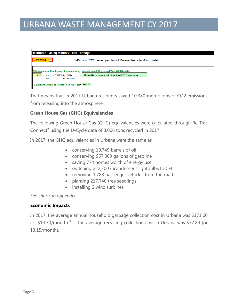| <b>Method 2 - Using Monthly Total Tonnage</b>                                                                                                                                                                  |
|----------------------------------------------------------------------------------------------------------------------------------------------------------------------------------------------------------------|
| Comingled R VI<br>3.45 Tons CO2E saved per Ton of Material Recycled/Composted                                                                                                                                  |
| GHGs/month avoided by recycling/composting rather than landfilling using EPA's WARM model<br>251<br>865.44 Metric tons/month of avoided CO2E emissions<br>x 3.44796 ton CO2e<br>ton<br>÷<br>ton recycled<br>mo |
| Equivalent number of cars taken off the road: = 2242.07                                                                                                                                                        |

That means that in 2017 Urbana residents saved 10,380 metric tons of CO2 emissions from releasing into the atmosphere.

#### **Green House Gas (GHG) Equivalencies**

The following Green House Gas (GHG) equivalencies were calculated through Re-Trac Connect² using the U-Cycle data of 3,006 tons recycled in 2017.

In 2017, the GHG equivalencies in Urbana were the same as

- conserving 19,749 barrels of oil
- conserving 957,369 gallons of gasoline
- saving 774 homes worth of energy use
- switching 222,300 incandescent lightbulbs to CFL
- removing 1,788 passenger vehicles from the road
- planting 217,740 tree seedlings
- installing 2 wind turbines

*See charts in appendix.*

#### **Economic Impacts**

In 2017, the average annual household garbage collection cost in Urbana was \$171.60 (or  $$14.30/m$ onth)<sup>3</sup>. The average recycling collection cost in Urbana was  $$37.84$  (or \$3.15/month).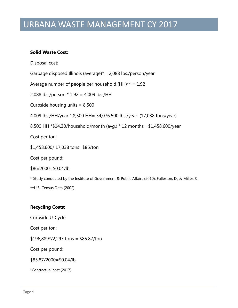#### **Solid Waste Cost:**

Disposal cost:

Garbage disposed Illinois (average)\*= 2,088 lbs./person/year

Average number of people per household  $(HH)$ \*\* = 1.92

2,088 lbs./person \* 1.92 = 4,009 lbs./HH

Curbside housing units = 8,500

4,009 lbs./HH/year \* 8,500 HH= 34,076,500 lbs./year (17,038 tons/year)

8,500 HH \*\$14.30/household/month (avg.) \* 12 months= \$1,458,600/year

Cost per ton:

\$1,458,600/ 17,038 tons=\$86/ton

Cost per pound:

 $$86/2000 = $0.04/lb.$ 

\* Study conducted by the Institute of Government & Public Affairs (2010); Fullerton, D., & Miller, S.

\*\*U.S. Census Data (2002)

#### **Recycling Costs:**

Curbside U-Cycle

Cost per ton:

 $$196,889*/2,293$  tons = \$85.87/ton

Cost per pound:

\$85.87/2000=\$0.04/lb.

\*Contractual cost (2017)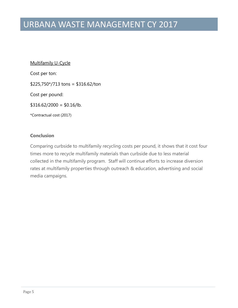Multifamily U-Cycle

Cost per ton:

\$225,750\*/713 tons = \$316.62/ton

Cost per pound:

 $$316.62/2000 = $0.16/lb.$ 

\*Contractual cost (2017)

#### **Conclusion**

Comparing curbside to multifamily recycling costs per pound, it shows that it cost four times more to recycle multifamily materials than curbside due to less material collected in the multifamily program. Staff will continue efforts to increase diversion rates at multifamily properties through outreach & education, advertising and social media campaigns.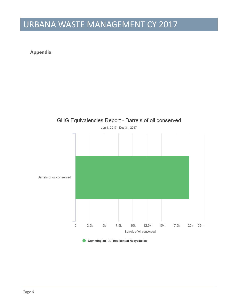#### **Appendix**



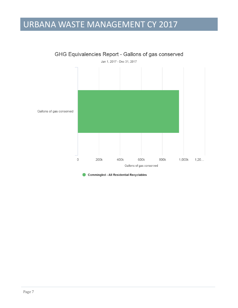

GHG Equivalencies Report - Gallons of gas conserved

Commingled - All Residential Recyclables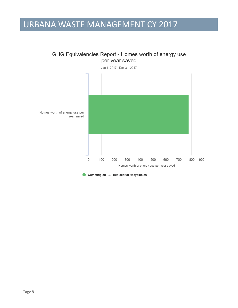

GHG Equivalencies Report - Homes worth of energy use

Commingled - All Residential Recyclables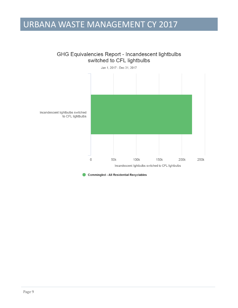#### GHG Equivalencies Report - Incandescent lightbulbs switched to CFL lightbulbs



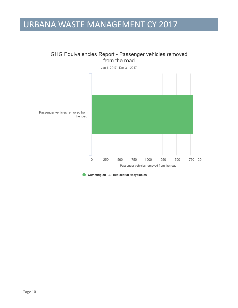



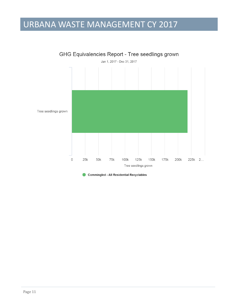

Commingled - All Residential Recyclables